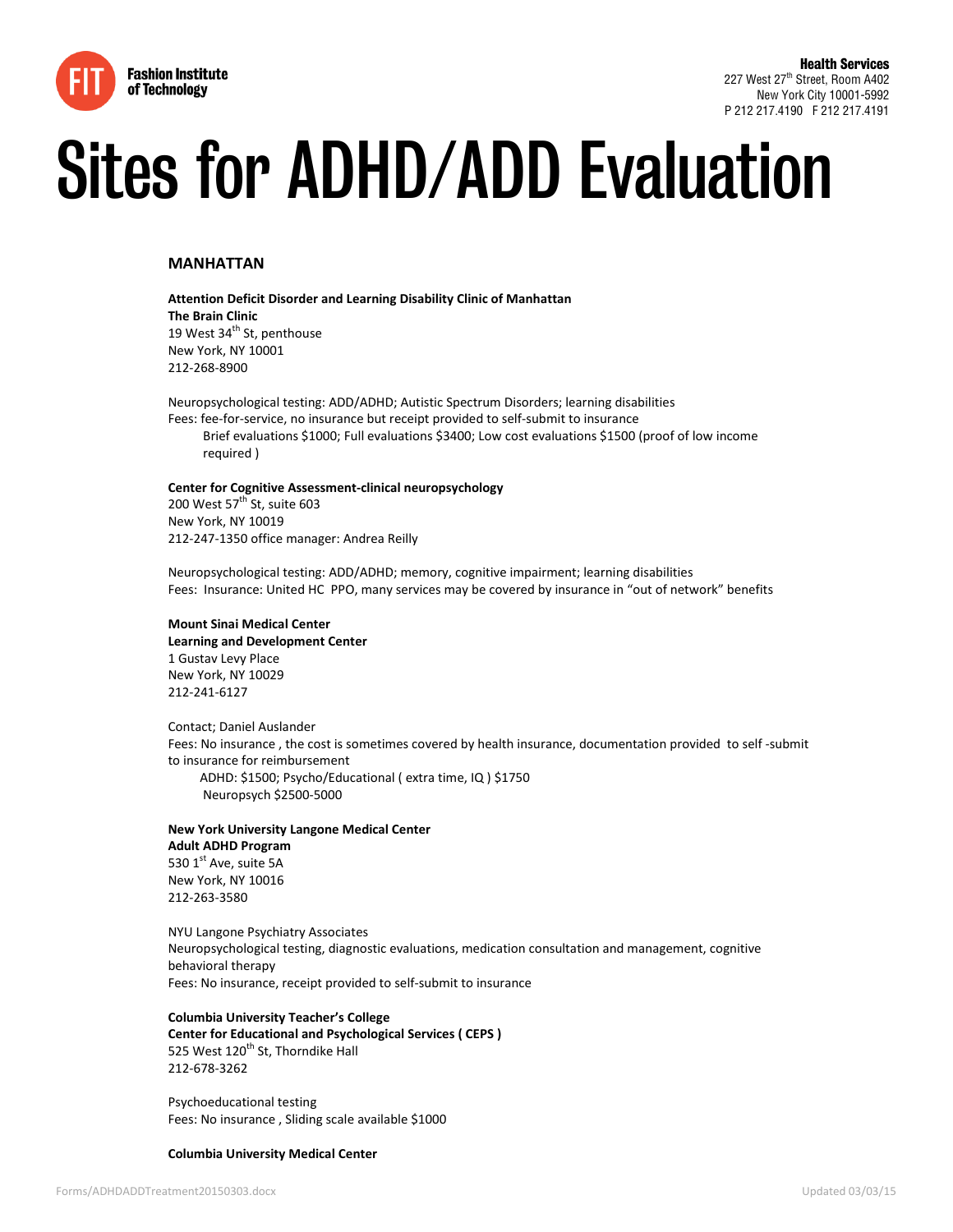

# Sites for ADHD/ADD Evaluation

#### **MANHATTAN**

**Attention Deficit Disorder and Learning Disability Clinic of Manhattan The Brain Clinic** 19 West 34<sup>th</sup> St, penthouse New York, NY 10001 212-268-8900

Neuropsychological testing: ADD/ADHD; Autistic Spectrum Disorders; learning disabilities Fees: fee-for-service, no insurance but receipt provided to self-submit to insurance Brief evaluations \$1000; Full evaluations \$3400; Low cost evaluations \$1500 (proof of low income required )

#### **Center for Cognitive Assessment-clinical neuropsychology**

200 West  $57<sup>th</sup>$  St, suite 603 New York, NY 10019 212-247-1350 office manager: Andrea Reilly

Neuropsychological testing: ADD/ADHD; memory, cognitive impairment; learning disabilities Fees: Insurance: United HC PPO, many services may be covered by insurance in "out of network" benefits

# **Mount Sinai Medical Center**

**Learning and Development Center** 1 Gustav Levy Place New York, NY 10029 212-241-6127

Contact; Daniel Auslander Fees: No insurance , the cost is sometimes covered by health insurance, documentation provided to self -submit to insurance for reimbursement ADHD: \$1500; Psycho/Educational ( extra time, IQ ) \$1750 Neuropsych \$2500-5000

#### **New York University Langone Medical Center Adult ADHD Program** 530 1st Ave, suite 5A

New York, NY 10016 212-263-3580

NYU Langone Psychiatry Associates Neuropsychological testing, diagnostic evaluations, medication consultation and management, cognitive behavioral therapy Fees: No insurance, receipt provided to self-submit to insurance

## **Columbia University Teacher's College Center for Educational and Psychological Services ( CEPS )** 525 West 120<sup>th</sup> St, Thorndike Hall 212-678-3262

Psychoeducational testing Fees: No insurance , Sliding scale available \$1000

#### **Columbia University Medical Center**